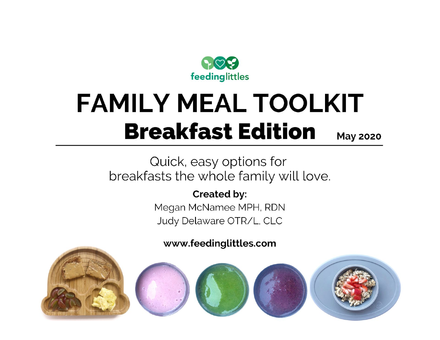

# **FAMILY MEAL TOOLKIT Breakfast Edition May 2020**

Quick, easy options for breakfasts the whole family will love.

**Created by:** 

Megan McNamee MPH, RDN Judy Delaware OTR/L, CLC

www.feedinglittles.com

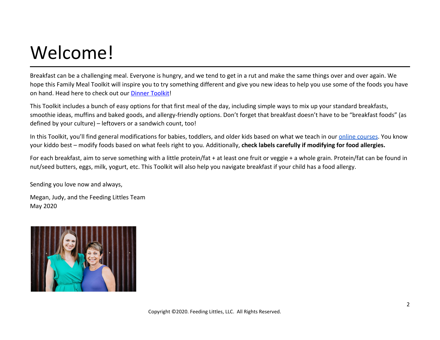# Welcome!

Breakfast can be a challenging meal. Everyone is hungry, and we tend to get in a rut and make the same things over and over again. We hope this Family Meal Toolkit will inspire you to try something different and give you new ideas to help you use some of the foods you have on hand. Head here to check out our [Dinner Toolkit](https://www.feedinglittles.com/blog/free-family-meal-toolkit-dinner-edition)!

This Toolkit includes a bunch of easy options for that first meal of the day, including simple ways to mix up your standard breakfasts, smoothie ideas, muffins and baked goods, and allergy-friendly options. Don't forget that breakfast doesn't have to be "breakfast foods" (as defined by your culture) – leftovers or a sandwich count, too!

In this Toolkit, you'll find general modifications for babies, toddlers, and older kids based on what we teach in our [online courses](http://feedinglittles.com/). You know your kiddo best – modify foods based on what feels right to you. Additionally, **check labels carefully if modifying for food allergies.**

For each breakfast, aim to serve something with a little protein/fat + at least one fruit or veggie + a whole grain. Protein/fat can be found in nut/seed butters, eggs, milk, yogurt, etc. This Toolkit will also help you navigate breakfast if your child has a food allergy.

Sending you love now and always,

Megan, Judy, and the Feeding Littles Team May 2020

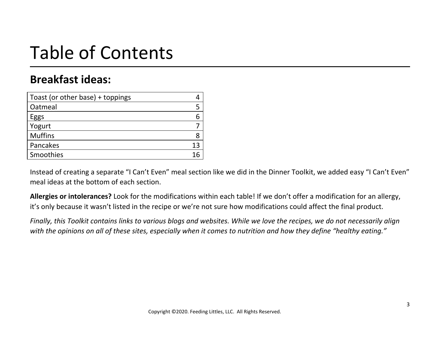# Table of Contents

## **Breakfast ideas:**

| Toast (or other base) + toppings |   |
|----------------------------------|---|
| Oatmeal                          |   |
| Eggs                             |   |
| Yogurt                           |   |
| <b>Muffins</b>                   | 8 |
| Pancakes                         |   |
| Smoothies                        |   |

Instead of creating a separate "I Can't Even" meal section like we did in the Dinner Toolkit, we added easy "I Can't Even" meal ideas at the bottom of each section.

**Allergies or intolerances?** Look for the modifications within each table! If we don't offer a modification for an allergy, it's only because it wasn't listed in the recipe or we're not sure how modifications could affect the final product.

Finally, this Toolkit contains links to various blogs and websites. While we love the recipes, we do not necessarily align with the opinions on all of these sites, especially when it comes to nutrition and how they define "healthy eating."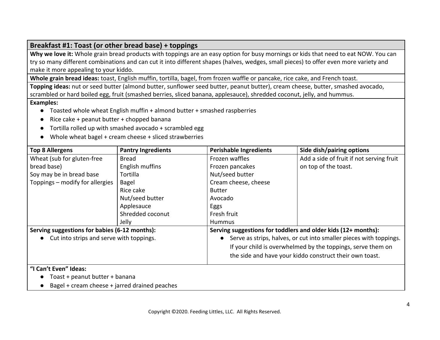#### **Breakfast #1: Toast (or other bread base) + toppings**

**Why we love it:** Whole grain bread products with toppings are an easy option for busy mornings or kids that need to eat NOW. You can try so many different combinations and can cut it into different shapes (halves, wedges, small pieces) to offer even more variety and make it more appealing to your kiddo.

**Whole grain bread ideas:** toast, English muffin, tortilla, bagel, from frozen waffle or pancake, rice cake, and French toast.

**Topping ideas:** nut or seed butter (almond butter, sunflower seed butter, peanut butter), cream cheese, butter, smashed avocado, scrambled or hard boiled egg, fruit (smashed berries, sliced banana, applesauce), shredded coconut, jelly, and hummus.

#### **Examples:**

- Toasted whole wheat English muffin + almond butter + smashed raspberries
- $\bullet$  Rice cake + peanut butter + chopped banana
- Tortilla rolled up with smashed avocado + scrambled egg
- Whole wheat bagel + cream cheese + sliced strawberries

| <b>Top 8 Allergens</b>                        | <b>Pantry Ingredients</b> | <b>Perishable Ingredients</b>                                                   | Side dish/pairing options                                     |  |
|-----------------------------------------------|---------------------------|---------------------------------------------------------------------------------|---------------------------------------------------------------|--|
| Wheat (sub for gluten-free                    | Bread                     | Frozen waffles                                                                  | Add a side of fruit if not serving fruit                      |  |
| bread base)                                   | English muffins           | Frozen pancakes                                                                 | on top of the toast.                                          |  |
| Soy may be in bread base                      | Tortilla                  | Nut/seed butter                                                                 |                                                               |  |
| Toppings - modify for allergies               | Bagel                     | Cream cheese, cheese                                                            |                                                               |  |
|                                               | Rice cake                 | <b>Butter</b>                                                                   |                                                               |  |
|                                               | Nut/seed butter           | Avocado                                                                         |                                                               |  |
|                                               | Applesauce                | Eggs                                                                            |                                                               |  |
|                                               | Shredded coconut          | Fresh fruit                                                                     |                                                               |  |
|                                               | Jelly                     | <b>Hummus</b>                                                                   |                                                               |  |
| Serving suggestions for babies (6-12 months): |                           |                                                                                 | Serving suggestions for toddlers and older kids (12+ months): |  |
| • Cut into strips and serve with toppings.    |                           | Serve as strips, halves, or cut into smaller pieces with toppings.<br>$\bullet$ |                                                               |  |
|                                               |                           |                                                                                 | If your child is overwhelmed by the toppings, serve them on   |  |
|                                               |                           |                                                                                 | the side and have your kiddo construct their own toast.       |  |
| "I Can't Even" Ideas:                         |                           |                                                                                 |                                                               |  |

- Toast + peanut butter + banana
- Bagel + cream cheese + jarred drained peaches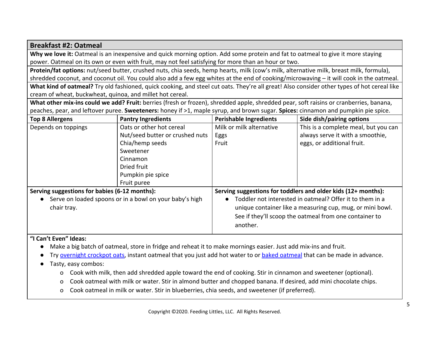#### **Breakfast #2: Oatmeal**

**Why we love it:** Oatmeal is an inexpensive and quick morning option. Add some protein and fat to oatmeal to give it more staying power. Oatmeal on its own or even with fruit, may not feel satisfying for more than an hour or two.

**Protein/fat options:** nut/seed butter, crushed nuts, chia seeds, hemp hearts, milk (cow's milk, alternative milk, breast milk, formula), shredded coconut, and coconut oil. You could also add a few egg whites at the end of cooking/microwaving – it will cook in the oatmeal.

**What kind of oatmeal?** Try old fashioned, quick cooking, and steel cut oats. They're all great! Also consider other types of hot cereal like cream of wheat, buckwheat, quinoa, and millet hot cereal.

**What other mix-ins could we add? Fruit:** berries (fresh or frozen), shredded apple, shredded pear, soft raisins or cranberries, banana, peaches, pear, and leftover puree. **Sweeteners:** honey if >1, maple syrup, and brown sugar. **Spices:** cinnamon and pumpkin pie spice.

| <b>Top 8 Allergens</b>                                  | <b>Pantry Ingredients</b>       | <b>Perishable Ingredients</b>                            | Side dish/pairing options                                     |  |
|---------------------------------------------------------|---------------------------------|----------------------------------------------------------|---------------------------------------------------------------|--|
| Depends on toppings                                     | Oats or other hot cereal        | Milk or milk alternative                                 | This is a complete meal, but you can                          |  |
|                                                         | Nut/seed butter or crushed nuts | Eggs                                                     | always serve it with a smoothie,                              |  |
|                                                         | Chia/hemp seeds                 | Fruit                                                    | eggs, or additional fruit.                                    |  |
|                                                         | Sweetener                       |                                                          |                                                               |  |
|                                                         | Cinnamon                        |                                                          |                                                               |  |
|                                                         | Dried fruit                     |                                                          |                                                               |  |
|                                                         | Pumpkin pie spice               |                                                          |                                                               |  |
|                                                         | Fruit puree                     |                                                          |                                                               |  |
| Serving suggestions for babies (6-12 months):           |                                 |                                                          | Serving suggestions for toddlers and older kids (12+ months): |  |
| Serve on loaded spoons or in a bowl on your baby's high |                                 | Toddler not interested in oatmeal? Offer it to them in a |                                                               |  |
| chair tray.                                             |                                 |                                                          | unique container like a measuring cup, mug, or mini bowl.     |  |
|                                                         |                                 |                                                          | See if they'll scoop the oatmeal from one container to        |  |
|                                                         |                                 | another.                                                 |                                                               |  |

#### **"I Can't Even" Ideas:**

- Make a big batch of oatmeal, store in fridge and reheat it to make mornings easier. Just add mix-ins and fruit.
- Try [overnight crockpot oats](https://www.wellplated.com/overnight-steel-cut-oats/), instant oatmeal that you just add hot water to or [baked oatmeal](https://cookieandkate.com/baked-oatmeal-recipe/) that can be made in advance.
- Tasty, easy combos:
	- o Cook with milk, then add shredded apple toward the end of cooking. Stir in cinnamon and sweetener (optional).
	- o Cook oatmeal with milk or water. Stir in almond butter and chopped banana. If desired, add mini chocolate chips.
	- o Cook oatmeal in milk or water. Stir in blueberries, chia seeds, and sweetener (if preferred).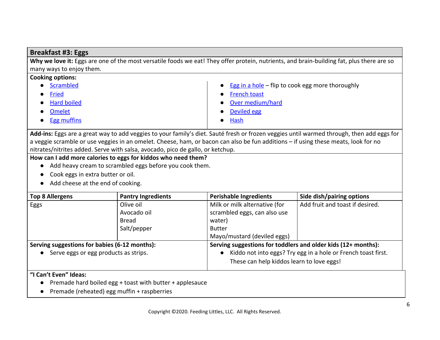#### **Breakfast #3: Eggs**

Why we love it: Eggs are one of the most versatile foods we eat! They offer protein, nutrients, and brain-building fat, plus there are so many ways to enjoy them.

| <b>Cooking options:</b> |                                                      |
|-------------------------|------------------------------------------------------|
| Scrambled               | • Egg in a hole $-$ flip to cook egg more thoroughly |
| Fried                   | <b>French toast</b>                                  |
| <b>Hard boiled</b>      | Over medium/hard                                     |
| <b>Omelet</b>           | Deviled egg                                          |
| <b>Egg muffins</b>      | <b>Hash</b>                                          |
|                         |                                                      |

**Add-ins:** Eggs are a great way to add veggies to your family's diet. Sauté fresh or frozen veggies until warmed through, then add eggs for a veggie scramble or use veggies in an omelet. Cheese, ham, or bacon can also be fun additions – if using these meats, look for no nitrates/nitrites added. Serve with salsa, avocado, pico de gallo, or ketchup.

#### **How can I add more calories to eggs for kiddos who need them?**

- Add heavy cream to scrambled eggs before you cook them.
- Cook eggs in extra butter or oil.
- Add cheese at the end of cooking.

| <b>Top 8 Allergens</b>                        | <b>Pantry Ingredients</b> | <b>Perishable Ingredients</b>                                 | Side dish/pairing options                                     |  |
|-----------------------------------------------|---------------------------|---------------------------------------------------------------|---------------------------------------------------------------|--|
| Eggs                                          | Olive oil                 | Milk or milk alternative (for                                 | Add fruit and toast if desired.                               |  |
|                                               | Avocado oil               | scrambled eggs, can also use                                  |                                                               |  |
|                                               | <b>Bread</b>              | water)                                                        |                                                               |  |
|                                               | Salt/pepper               | <b>Butter</b>                                                 |                                                               |  |
|                                               |                           | Mayo/mustard (deviled eggs)                                   |                                                               |  |
| Serving suggestions for babies (6-12 months): |                           | Serving suggestions for toddlers and older kids (12+ months): |                                                               |  |
| Serve eggs or egg products as strips.         |                           |                                                               | Kiddo not into eggs? Try egg in a hole or French toast first. |  |
|                                               |                           | These can help kiddos learn to love eggs!                     |                                                               |  |

#### **"I Can't Even" Ideas:**

- Premade hard boiled egg + toast with butter + applesauce
- Premade (reheated) egg muffin + raspberries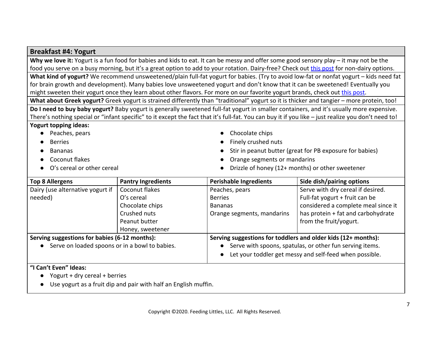#### **Breakfast #4: Yogurt**

**Why we love it:** Yogurt is a fun food for babies and kids to eat. It can be messy and offer some good sensory play – it may not be the food you serve on a busy morning, but it's a great option to add to your rotation. Dairy-free? Check out [this post](https://www.feedinglittles.com/blog/yogurt-buying-guide-unsweetened-yogurts) for non-dairy options.

**What kind of yogurt?** We recommend unsweetened/plain full-fat yogurt for babies. (Try to avoid low-fat or nonfat yogurt – kids need fat for brain growth and development). Many babies love unsweetened yogurt and don't know that it can be sweetened! Eventually you might sweeten their yogurt once they learn about other flavors. For more on our favorite yogurt brands, check out [this post.](https://www.feedinglittles.com/blog/yogurt-buying-guide-unsweetened-yogurts)

**What about Greek yogurt?** Greek yogurt is strained differently than "traditional" yogurt so it is thicker and tangier – more protein, too!

**Do I need to buy baby yogurt?** Baby yogurt is generally sweetened full-fat yogurt in smaller containers, and it's usually more expensive. There's nothing special or "infant specific" to it except the fact that it's full-fat. You can buy it if you like – just realize you don't need to!

#### **Yogurt topping ideas:**

- Peaches, pears
- **Berries**
- **Bananas**
- **Coconut flakes**
- O's cereal or other cereal
- Chocolate chips
- Finely crushed nuts
- Stir in peanut butter (great for PB exposure for babies)
- Orange segments or mandarins
- Drizzle of honey (12+ months) or other sweetener

| <b>Top 8 Allergens</b>                         | <b>Pantry Ingredients</b> | <b>Perishable Ingredients</b>                                         | Side dish/pairing options                               |  |
|------------------------------------------------|---------------------------|-----------------------------------------------------------------------|---------------------------------------------------------|--|
| Dairy (use alternative yogurt if               | Coconut flakes            | Peaches, pears                                                        | Serve with dry cereal if desired.                       |  |
| needed)                                        | O's cereal                | <b>Berries</b>                                                        | Full-fat yogurt $+$ fruit can be                        |  |
|                                                | Chocolate chips           | <b>Bananas</b>                                                        | considered a complete meal since it                     |  |
|                                                | Crushed nuts              | Orange segments, mandarins                                            | has protein + fat and carbohydrate                      |  |
|                                                | Peanut butter             |                                                                       | from the fruit/yogurt.                                  |  |
|                                                | Honey, sweetener          |                                                                       |                                                         |  |
| Serving suggestions for babies (6-12 months):  |                           | Serving suggestions for toddlers and older kids (12+ months):         |                                                         |  |
| Serve on loaded spoons or in a bowl to babies. |                           | Serve with spoons, spatulas, or other fun serving items.<br>$\bullet$ |                                                         |  |
|                                                |                           | $\bullet$                                                             | Let your toddler get messy and self-feed when possible. |  |

#### **"I Can't Even" Ideas:**

- $\bullet$  Yogurt + dry cereal + berries
- Use yogurt as a fruit dip and pair with half an English muffin.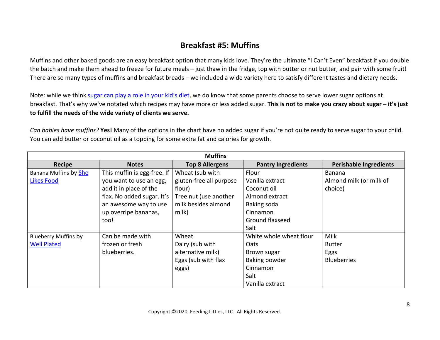### **Breakfast #5: Muffins**

Muffins and other baked goods are an easy breakfast option that many kids love. They're the ultimate "I Can't Even" breakfast if you double the batch and make them ahead to freeze for future meals – just thaw in the fridge, top with butter or nut butter, and pair with some fruit! There are so many types of muffins and breakfast breads – we included a wide variety here to satisfy different tastes and dietary needs.

Note: while we think [sugar can play a role in your kid's diet](https://www.feedinglittles.com/blog/how-to-stress-less-about-sugar), we do know that some parents choose to serve lower sugar options at breakfast. That's why we've notated which recipes may have more or less added sugar. **This is not to make you crazy about sugar – it's just to fulfill the needs of the wide variety of clients we serve.**

*Can babies have muffins?* **Yes!** Many of the options in the chart have no added sugar if you're not quite ready to serve sugar to your child. You can add butter or coconut oil as a topping for some extra fat and calories for growth.

| <b>Muffins</b>              |                             |                         |                           |                               |
|-----------------------------|-----------------------------|-------------------------|---------------------------|-------------------------------|
| <b>Recipe</b>               | <b>Notes</b>                | <b>Top 8 Allergens</b>  | <b>Pantry Ingredients</b> | <b>Perishable Ingredients</b> |
| Banana Muffins by She       | This muffin is egg-free. If | Wheat (sub with         | Flour                     | Banana                        |
| <b>Likes Food</b>           | you want to use an egg,     | gluten-free all purpose | Vanilla extract           | Almond milk (or milk of       |
|                             | add it in place of the      | flour)                  | Coconut oil               | choice)                       |
|                             | flax. No added sugar. It's  | Tree nut (use another   | Almond extract            |                               |
|                             | an awesome way to use       | milk besides almond     | Baking soda               |                               |
|                             | up overripe bananas,        | milk)                   | Cinnamon                  |                               |
|                             | too!                        |                         | Ground flaxseed           |                               |
|                             |                             |                         | Salt                      |                               |
| <b>Blueberry Muffins by</b> | Can be made with            | Wheat                   | White whole wheat flour   | Milk                          |
| <b>Well Plated</b>          | frozen or fresh             | Dairy (sub with         | <b>Oats</b>               | <b>Butter</b>                 |
|                             | blueberries.                | alternative milk)       | Brown sugar               | Eggs                          |
|                             |                             | Eggs (sub with flax     | Baking powder             | <b>Blueberries</b>            |
|                             |                             | eggs)                   | Cinnamon                  |                               |
|                             |                             |                         | Salt                      |                               |
|                             |                             |                         | Vanilla extract           |                               |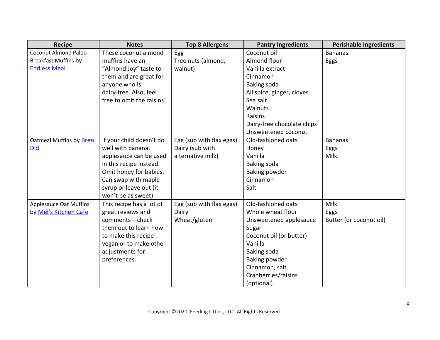| <b>Recipe</b>                 | <b>Notes</b>              | <b>Top 8 Allergens</b>   | <b>Pantry Ingredients</b>  | <b>Perishable Ingredients</b> |
|-------------------------------|---------------------------|--------------------------|----------------------------|-------------------------------|
| <b>Coconut Almond Paleo</b>   | These coconut almond      | Egg                      | Coconut oil                | <b>Bananas</b>                |
| <b>Breakfast Muffins by</b>   | muffins have an           | Tree nuts (almond,       | Almond flour               | Eggs                          |
| <b>Endless Meal</b>           | "Almond Joy" taste to     | walnut)                  | Vanilla extract            |                               |
|                               | them and are great for    |                          | Cinnamon                   |                               |
|                               | anyone who is             |                          | Baking soda                |                               |
|                               | dairy-free. Also, feel    |                          | All spice, ginger, cloves  |                               |
|                               | free to omit the raisins! |                          | Sea salt                   |                               |
|                               |                           |                          | Walnuts                    |                               |
|                               |                           |                          | Raisins                    |                               |
|                               |                           |                          | Dairy-free chocolate chips |                               |
|                               |                           |                          | Unsweetened coconut        |                               |
| Oatmeal Muffins by Bren       | If your child doesn't do  | Egg (sub with flax eggs) | Old-fashioned oats         | <b>Bananas</b>                |
| <b>Did</b>                    | well with banana,         | Dairy (sub with          | Honey                      | Eggs                          |
|                               | applesauce can be used    | alternative milk)        | Vanilla                    | Milk                          |
|                               | in this recipe instead.   |                          | Baking soda                |                               |
|                               | Omit honey for babies.    |                          | Baking powder              |                               |
|                               | Can swap with maple       |                          | Cinnamon                   |                               |
|                               | syrup or leave out (it    |                          | Salt                       |                               |
|                               | won't be as sweet).       |                          |                            |                               |
| <b>Applesauce Oat Muffins</b> | This recipe has a lot of  | Egg (sub with flax eggs) | Old-fashioned oats         | Milk                          |
| by Mel's Kitchen Cafe         | great reviews and         | Dairy                    | Whole wheat flour          | Eggs                          |
|                               | comments - check          | Wheat/gluten             | Unsweetened applesauce     | Butter (or coconut oil)       |
|                               | them out to learn how     |                          | Sugar                      |                               |
|                               | to make this recipe       |                          | Coconut oil (or butter)    |                               |
|                               | vegan or to make other    |                          | Vanilla                    |                               |
|                               | adjustments for           |                          | Baking soda                |                               |
|                               | preferences.              |                          | Baking powder              |                               |
|                               |                           |                          | Cinnamon, salt             |                               |
|                               |                           |                          | Cranberries/raisins        |                               |
|                               |                           |                          | (optional)                 |                               |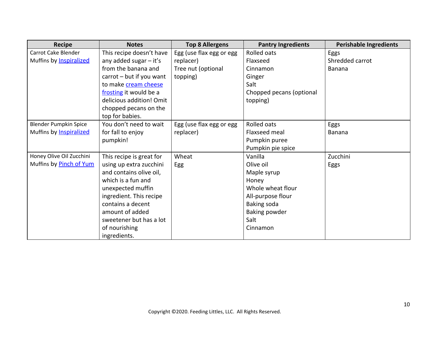| <b>Recipe</b>            | <b>Notes</b>             | <b>Top 8 Allergens</b>   | <b>Pantry Ingredients</b> | <b>Perishable Ingredients</b> |
|--------------------------|--------------------------|--------------------------|---------------------------|-------------------------------|
| Carrot Cake Blender      | This recipe doesn't have | Egg (use flax egg or egg | Rolled oats               | Eggs                          |
| Muffins by Inspiralized  | any added sugar $-$ it's | replacer)                | Flaxseed                  | Shredded carrot               |
|                          | from the banana and      | Tree nut (optional       | Cinnamon                  | <b>Banana</b>                 |
|                          | carrot - but if you want | topping)                 | Ginger                    |                               |
|                          | to make cream cheese     |                          | Salt                      |                               |
|                          | frosting it would be a   |                          | Chopped pecans (optional  |                               |
|                          | delicious addition! Omit |                          | topping)                  |                               |
|                          | chopped pecans on the    |                          |                           |                               |
|                          | top for babies.          |                          |                           |                               |
| Blender Pumpkin Spice    | You don't need to wait   | Egg (use flax egg or egg | Rolled oats               | Eggs                          |
| Muffins by Inspiralized  | for fall to enjoy        | replacer)                | Flaxseed meal             | Banana                        |
|                          | pumpkin!                 |                          | Pumpkin puree             |                               |
|                          |                          |                          | Pumpkin pie spice         |                               |
| Honey Olive Oil Zucchini | This recipe is great for | Wheat                    | Vanilla                   | Zucchini                      |
| Muffins by Pinch of Yum  | using up extra zucchini  | Egg                      | Olive oil                 | Eggs                          |
|                          | and contains olive oil,  |                          | Maple syrup               |                               |
|                          | which is a fun and       |                          | Honey                     |                               |
|                          | unexpected muffin        |                          | Whole wheat flour         |                               |
|                          | ingredient. This recipe  |                          | All-purpose flour         |                               |
|                          | contains a decent        |                          | Baking soda               |                               |
|                          | amount of added          |                          | <b>Baking powder</b>      |                               |
|                          | sweetener but has a lot  |                          | Salt                      |                               |
|                          | of nourishing            |                          | Cinnamon                  |                               |
|                          | ingredients.             |                          |                           |                               |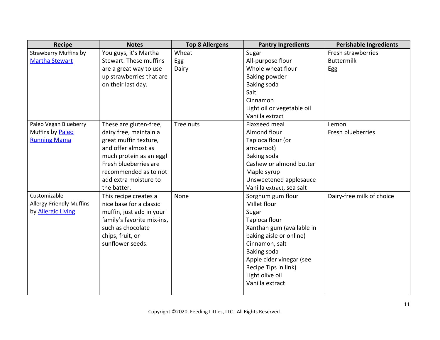| <b>Recipe</b>                   | <b>Notes</b>               | <b>Top 8 Allergens</b> | <b>Pantry Ingredients</b>  | <b>Perishable Ingredients</b> |
|---------------------------------|----------------------------|------------------------|----------------------------|-------------------------------|
| <b>Strawberry Muffins by</b>    | You guys, it's Martha      | Wheat                  | Sugar                      | Fresh strawberries            |
| <b>Martha Stewart</b>           | Stewart. These muffins     | Egg                    | All-purpose flour          | <b>Buttermilk</b>             |
|                                 | are a great way to use     | Dairy                  | Whole wheat flour          | Egg                           |
|                                 | up strawberries that are   |                        | Baking powder              |                               |
|                                 | on their last day.         |                        | <b>Baking soda</b>         |                               |
|                                 |                            |                        | Salt                       |                               |
|                                 |                            |                        | Cinnamon                   |                               |
|                                 |                            |                        | Light oil or vegetable oil |                               |
|                                 |                            |                        | Vanilla extract            |                               |
| Paleo Vegan Blueberry           | These are gluten-free,     | Tree nuts              | Flaxseed meal              | Lemon                         |
| Muffins by Paleo                | dairy free, maintain a     |                        | Almond flour               | Fresh blueberries             |
| <b>Running Mama</b>             | great muffin texture,      |                        | Tapioca flour (or          |                               |
|                                 | and offer almost as        |                        | arrowroot)                 |                               |
|                                 | much protein as an egg!    |                        | <b>Baking soda</b>         |                               |
|                                 | Fresh blueberries are      |                        | Cashew or almond butter    |                               |
|                                 | recommended as to not      |                        | Maple syrup                |                               |
|                                 | add extra moisture to      |                        | Unsweetened applesauce     |                               |
|                                 | the batter.                |                        | Vanilla extract, sea salt  |                               |
| Customizable                    | This recipe creates a      | None                   | Sorghum gum flour          | Dairy-free milk of choice     |
| <b>Allergy-Friendly Muffins</b> | nice base for a classic    |                        | Millet flour               |                               |
| by <b>Allergic Living</b>       | muffin, just add in your   |                        | Sugar                      |                               |
|                                 | family's favorite mix-ins, |                        | Tapioca flour              |                               |
|                                 | such as chocolate          |                        | Xanthan gum (available in  |                               |
|                                 | chips, fruit, or           |                        | baking aisle or online)    |                               |
|                                 | sunflower seeds.           |                        | Cinnamon, salt             |                               |
|                                 |                            |                        | Baking soda                |                               |
|                                 |                            |                        | Apple cider vinegar (see   |                               |
|                                 |                            |                        | Recipe Tips in link)       |                               |
|                                 |                            |                        | Light olive oil            |                               |
|                                 |                            |                        | Vanilla extract            |                               |
|                                 |                            |                        |                            |                               |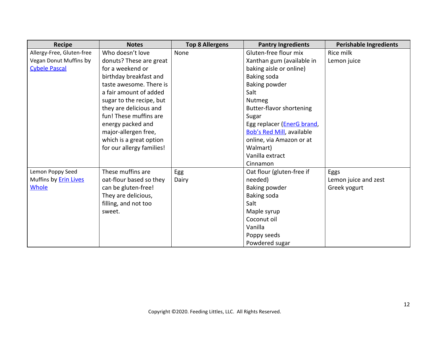| <b>Recipe</b>                | <b>Notes</b>              | <b>Top 8 Allergens</b> | <b>Pantry Ingredients</b>           | <b>Perishable Ingredients</b> |
|------------------------------|---------------------------|------------------------|-------------------------------------|-------------------------------|
| Allergy-Free, Gluten-free    | Who doesn't love          | None                   | Gluten-free flour mix               | Rice milk                     |
| Vegan Donut Muffins by       | donuts? These are great   |                        | Xanthan gum (available in           | Lemon juice                   |
| <b>Cybele Pascal</b>         | for a weekend or          |                        | baking aisle or online)             |                               |
|                              | birthday breakfast and    |                        | Baking soda                         |                               |
|                              | taste awesome. There is   |                        | <b>Baking powder</b>                |                               |
|                              | a fair amount of added    |                        | Salt                                |                               |
|                              | sugar to the recipe, but  |                        | <b>Nutmeg</b>                       |                               |
|                              | they are delicious and    |                        | Butter-flavor shortening            |                               |
|                              | fun! These muffins are    |                        | Sugar                               |                               |
|                              | energy packed and         |                        | Egg replacer ( <i>EnerG brand</i> , |                               |
|                              | major-allergen free,      |                        | <b>Bob's Red Mill</b> , available   |                               |
|                              | which is a great option   |                        | online, via Amazon or at            |                               |
|                              | for our allergy families! |                        | Walmart)                            |                               |
|                              |                           |                        | Vanilla extract                     |                               |
|                              |                           |                        | Cinnamon                            |                               |
| Lemon Poppy Seed             | These muffins are         | Egg                    | Oat flour (gluten-free if           | Eggs                          |
| Muffins by <b>Erin Lives</b> | oat-flour based so they   | Dairy                  | needed)                             | Lemon juice and zest          |
| Whole                        | can be gluten-free!       |                        | <b>Baking powder</b>                | Greek yogurt                  |
|                              | They are delicious,       |                        | Baking soda                         |                               |
|                              | filling, and not too      |                        | Salt                                |                               |
|                              | sweet.                    |                        | Maple syrup                         |                               |
|                              |                           |                        | Coconut oil                         |                               |
|                              |                           |                        | Vanilla                             |                               |
|                              |                           |                        | Poppy seeds                         |                               |
|                              |                           |                        | Powdered sugar                      |                               |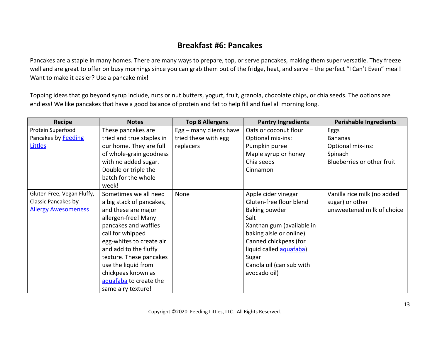### **Breakfast #6: Pancakes**

Pancakes are a staple in many homes. There are many ways to prepare, top, or serve pancakes, making them super versatile. They freeze well and are great to offer on busy mornings since you can grab them out of the fridge, heat, and serve – the perfect "I Can't Even" meal! Want to make it easier? Use a pancake mix!

Topping ideas that go beyond syrup include, nuts or nut butters, yogurt, fruit, granola, chocolate chips, or chia seeds. The options are endless! We like pancakes that have a good balance of protein and fat to help fill and fuel all morning long.

| <b>Recipe</b>              | <b>Notes</b>              | <b>Top 8 Allergens</b>  | <b>Pantry Ingredients</b> | <b>Perishable Ingredients</b> |
|----------------------------|---------------------------|-------------------------|---------------------------|-------------------------------|
| Protein Superfood          | These pancakes are        | Egg - many clients have | Oats or coconut flour     | Eggs                          |
| Pancakes by Feeding        | tried and true staples in | tried these with egg    | Optional mix-ins:         | <b>Bananas</b>                |
| Littles                    | our home. They are full   | replacers               | Pumpkin puree             | Optional mix-ins:             |
|                            | of whole-grain goodness   |                         | Maple syrup or honey      | Spinach                       |
|                            | with no added sugar.      |                         | Chia seeds                | Blueberries or other fruit    |
|                            | Double or triple the      |                         | Cinnamon                  |                               |
|                            | batch for the whole       |                         |                           |                               |
|                            | week!                     |                         |                           |                               |
| Gluten Free, Vegan Fluffy, | Sometimes we all need     | None                    | Apple cider vinegar       | Vanilla rice milk (no added   |
| Classic Pancakes by        | a big stack of pancakes,  |                         | Gluten-free flour blend   | sugar) or other               |
| <b>Allergy Awesomeness</b> | and these are major       |                         | Baking powder             | unsweetened milk of choice    |
|                            | allergen-free! Many       |                         | Salt                      |                               |
|                            | pancakes and waffles      |                         | Xanthan gum (available in |                               |
|                            | call for whipped          |                         | baking aisle or online)   |                               |
|                            | egg-whites to create air  |                         | Canned chickpeas (for     |                               |
|                            | and add to the fluffy     |                         | liquid called aquafaba)   |                               |
|                            | texture. These pancakes   |                         | Sugar                     |                               |
|                            | use the liquid from       |                         | Canola oil (can sub with  |                               |
|                            | chickpeas known as        |                         | avocado oil)              |                               |
|                            | aquafaba to create the    |                         |                           |                               |
|                            | same airy texture!        |                         |                           |                               |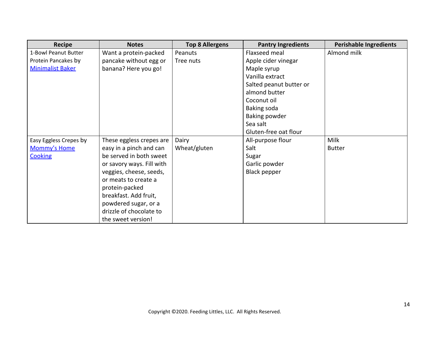| <b>Recipe</b>           | <b>Notes</b>              | <b>Top 8 Allergens</b> | <b>Pantry Ingredients</b> | <b>Perishable Ingredients</b> |
|-------------------------|---------------------------|------------------------|---------------------------|-------------------------------|
| 1-Bowl Peanut Butter    | Want a protein-packed     | Peanuts                | Flaxseed meal             | Almond milk                   |
| Protein Pancakes by     | pancake without egg or    | Tree nuts              | Apple cider vinegar       |                               |
| <b>Minimalist Baker</b> | banana? Here you go!      |                        | Maple syrup               |                               |
|                         |                           |                        | Vanilla extract           |                               |
|                         |                           |                        | Salted peanut butter or   |                               |
|                         |                           |                        | almond butter             |                               |
|                         |                           |                        | Coconut oil               |                               |
|                         |                           |                        | Baking soda               |                               |
|                         |                           |                        | Baking powder             |                               |
|                         |                           |                        | Sea salt                  |                               |
|                         |                           |                        | Gluten-free oat flour     |                               |
| Easy Eggless Crepes by  | These eggless crepes are  | Dairy                  | All-purpose flour         | <b>Milk</b>                   |
| Mommy's Home            | easy in a pinch and can   | Wheat/gluten           | Salt                      | <b>Butter</b>                 |
| <b>Cooking</b>          | be served in both sweet   |                        | Sugar                     |                               |
|                         | or savory ways. Fill with |                        | Garlic powder             |                               |
|                         | veggies, cheese, seeds,   |                        | <b>Black pepper</b>       |                               |
|                         | or meats to create a      |                        |                           |                               |
|                         | protein-packed            |                        |                           |                               |
|                         | breakfast. Add fruit,     |                        |                           |                               |
|                         | powdered sugar, or a      |                        |                           |                               |
|                         | drizzle of chocolate to   |                        |                           |                               |
|                         | the sweet version!        |                        |                           |                               |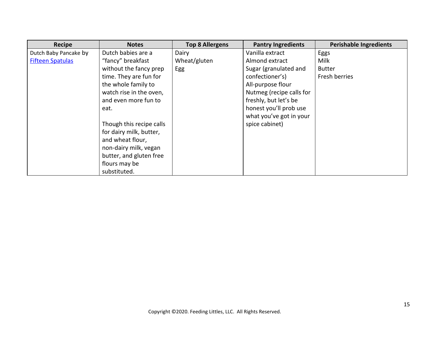| <b>Recipe</b>           | <b>Notes</b>             | <b>Top 8 Allergens</b> | <b>Pantry Ingredients</b> | <b>Perishable Ingredients</b> |
|-------------------------|--------------------------|------------------------|---------------------------|-------------------------------|
| Dutch Baby Pancake by   | Dutch babies are a       | Dairy                  | Vanilla extract           | Eggs                          |
| <b>Fifteen Spatulas</b> | "fancy" breakfast        | Wheat/gluten           | Almond extract            | Milk                          |
|                         | without the fancy prep   | Egg                    | Sugar (granulated and     | <b>Butter</b>                 |
|                         | time. They are fun for   |                        | confectioner's)           | Fresh berries                 |
|                         | the whole family to      |                        | All-purpose flour         |                               |
|                         | watch rise in the oven,  |                        | Nutmeg (recipe calls for  |                               |
|                         | and even more fun to     |                        | freshly, but let's be     |                               |
|                         | eat.                     |                        | honest you'll prob use    |                               |
|                         |                          |                        | what you've got in your   |                               |
|                         | Though this recipe calls |                        | spice cabinet)            |                               |
|                         | for dairy milk, butter,  |                        |                           |                               |
|                         | and wheat flour,         |                        |                           |                               |
|                         | non-dairy milk, vegan    |                        |                           |                               |
|                         | butter, and gluten free  |                        |                           |                               |
|                         | flours may be            |                        |                           |                               |
|                         | substituted.             |                        |                           |                               |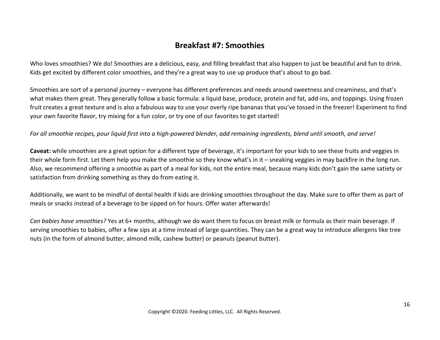### **Breakfast #7: Smoothies**

Who loves smoothies? We do! Smoothies are a delicious, easy, and filling breakfast that also happen to just be beautiful and fun to drink. Kids get excited by different color smoothies, and they're a great way to use up produce that's about to go bad.

Smoothies are sort of a personal journey – everyone has different preferences and needs around sweetness and creaminess, and that's what makes them great. They generally follow a basic formula: a liquid base, produce, protein and fat, add-ins, and toppings. Using frozen fruit creates a great texture and is also a fabulous way to use your overly ripe bananas that you've tossed in the freezer! Experiment to find your own favorite flavor, try mixing for a fun color, or try one of our favorites to get started!

*For all smoothie recipes, pour liquid first into a high-powered blender, add remaining ingredients, blend until smooth, and serve!*

**Caveat:** while smoothies are a great option for a different type of beverage, it's important for your kids to see these fruits and veggies in their whole form first. Let them help you make the smoothie so they know what's in it – sneaking veggies in may backfire in the long run. Also, we recommend offering a smoothie as part of a meal for kids, not the entire meal, because many kids don't gain the same satiety or satisfaction from drinking something as they do from eating it.

Additionally, we want to be mindful of dental health if kids are drinking smoothies throughout the day. Make sure to offer them as part of meals or snacks instead of a beverage to be sipped on for hours. Offer water afterwards!

*Can babies have smoothies?* Yes at 6+ months, although we do want them to focus on breast milk or formula as their main beverage. If serving smoothies to babies, offer a few sips at a time instead of large quantities. They can be a great way to introduce allergens like tree nuts (in the form of almond butter, almond milk, cashew butter) or peanuts (peanut butter).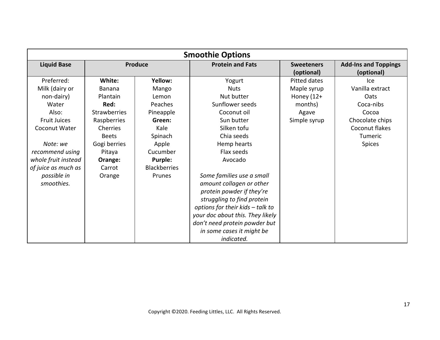| <b>Smoothie Options</b> |                     |                     |                                  |                                 |                                           |
|-------------------------|---------------------|---------------------|----------------------------------|---------------------------------|-------------------------------------------|
| <b>Liquid Base</b>      |                     | <b>Produce</b>      | <b>Protein and Fats</b>          | <b>Sweeteners</b><br>(optional) | <b>Add-Ins and Toppings</b><br>(optional) |
| Preferred:              | White:              | Yellow:             | Yogurt                           | Pitted dates                    | lce.                                      |
| Milk (dairy or          | <b>Banana</b>       | Mango               | <b>Nuts</b>                      | Maple syrup                     | Vanilla extract                           |
| non-dairy)              | Plantain            | Lemon               | Nut butter                       | Honey (12+                      | <b>Oats</b>                               |
| Water                   | Red:                | Peaches             | Sunflower seeds                  | months)                         | Coca-nibs                                 |
| Also:                   | <b>Strawberries</b> | Pineapple           | Coconut oil                      | Agave                           | Cocoa                                     |
| <b>Fruit Juices</b>     | Raspberries         | Green:              | Sun butter                       | Simple syrup                    | Chocolate chips                           |
| <b>Coconut Water</b>    | Cherries            | Kale                | Silken tofu                      |                                 | Coconut flakes                            |
|                         | <b>Beets</b>        | Spinach             | Chia seeds                       |                                 | Tumeric                                   |
| Note: we                | Gogi berries        | Apple               | Hemp hearts                      |                                 | <b>Spices</b>                             |
| recommend using         | Pitaya              | Cucumber            | Flax seeds                       |                                 |                                           |
| whole fruit instead     | Orange:             | <b>Purple:</b>      | Avocado                          |                                 |                                           |
| of juice as much as     | Carrot              | <b>Blackberries</b> |                                  |                                 |                                           |
| possible in             | Orange              | Prunes              | Some families use a small        |                                 |                                           |
| smoothies.              |                     |                     | amount collagen or other         |                                 |                                           |
|                         |                     |                     | protein powder if they're        |                                 |                                           |
|                         |                     |                     | struggling to find protein       |                                 |                                           |
|                         |                     |                     | options for their kids - talk to |                                 |                                           |
|                         |                     |                     | your doc about this. They likely |                                 |                                           |
|                         |                     |                     | don't need protein powder but    |                                 |                                           |
|                         |                     |                     | in some cases it might be        |                                 |                                           |
|                         |                     |                     | indicated.                       |                                 |                                           |